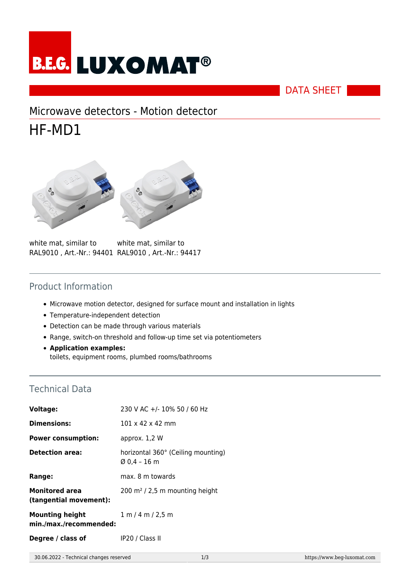

DATA SHEET

# Microwave detectors - Motion detector

# HF-MD1





white mat, similar to RAL9010 , Art.-Nr.: 94401 RAL9010 , Art.-Nr.: 94417 white mat, similar to

### Product Information

- Microwave motion detector, designed for surface mount and installation in lights
- Temperature-independent detection
- Detection can be made through various materials
- Range, switch-on threshold and follow-up time set via potentiometers
- **Application examples:** toilets, equipment rooms, plumbed rooms/bathrooms

### Technical Data

| Voltage:                                         | 230 V AC +/- 10% 50 / 60 Hz                        |
|--------------------------------------------------|----------------------------------------------------|
| <b>Dimensions:</b>                               | $101 \times 42 \times 42$ mm                       |
| <b>Power consumption:</b>                        | approx. 1,2 W                                      |
| <b>Detection area:</b>                           | horizontal 360° (Ceiling mounting)<br>Ø 0.4 – 16 m |
| Range:                                           | max. 8 m towards                                   |
| <b>Monitored area</b><br>(tangential movement):  | $200 \text{ m}^2$ / 2,5 m mounting height          |
| <b>Mounting height</b><br>min./max./recommended: | 1 m / 4 m / 2.5 m                                  |
| Degree / class of                                | IP20 / Class II                                    |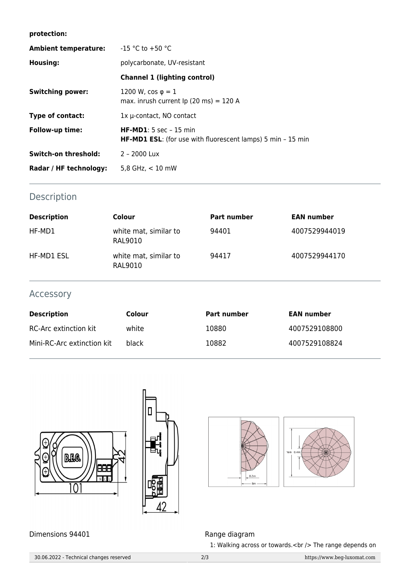#### **protection:**

| <b>Ambient temperature:</b> | $-15$ °C to +50 °C                                                                                   |  |  |
|-----------------------------|------------------------------------------------------------------------------------------------------|--|--|
| <b>Housing:</b>             | polycarbonate, UV-resistant                                                                          |  |  |
|                             | <b>Channel 1 (lighting control)</b>                                                                  |  |  |
| <b>Switching power:</b>     | 1200 W, $\cos \varphi = 1$<br>max. inrush current $lp(20 \text{ ms}) = 120 \text{ A}$                |  |  |
| Type of contact:            | $1x$ $\mu$ -contact, NO contact                                                                      |  |  |
| Follow-up time:             | <b>HF-MD1</b> : 5 sec - 15 min<br><b>HF-MD1 ESL:</b> (for use with fluorescent lamps) 5 min - 15 min |  |  |
| Switch-on threshold:        | 2 - 2000 Lux                                                                                         |  |  |
| Radar / HF technology:      | 5,8 GHz, $<$ 10 mW                                                                                   |  |  |

## Description

| <b>Description</b> | Colour                           | <b>Part number</b> | <b>EAN number</b> |
|--------------------|----------------------------------|--------------------|-------------------|
| HF-MD1             | white mat, similar to<br>RAL9010 | 94401              | 4007529944019     |
| HF-MD1 ESL         | white mat, similar to<br>RAL9010 | 94417              | 4007529944170     |

### Accessory

| <b>Description</b>         | Colour | <b>Part number</b> | <b>EAN number</b> |
|----------------------------|--------|--------------------|-------------------|
| RC-Arc extinction kit      | white  | 10880              | 4007529108800     |
| Mini-RC-Arc extinction kit | black  | 10882              | 4007529108824     |





Dimensions 94401 **Range diagram** 

 $0.2<sub>m</sub>$ 

1: Walking across or towards.<br />> The range depends on